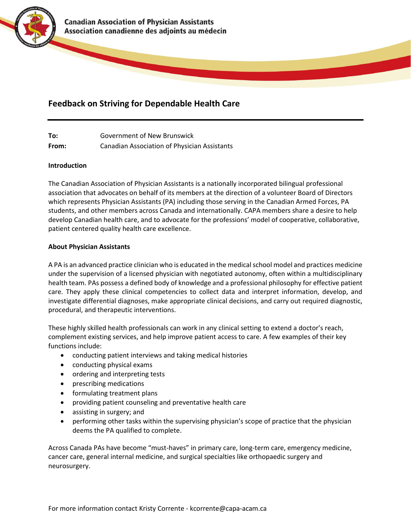

# **Feedback on Striving for Dependable Health Care**

**To:** Government of New Brunswick **From:** Canadian Association of Physician Assistants

# **Introduction**

The Canadian Association of Physician Assistants is a nationally incorporated bilingual professional association that advocates on behalf of its members at the direction of a volunteer Board of Directors which represents Physician Assistants (PA) including those serving in the Canadian Armed Forces, PA students, and other members across Canada and internationally. CAPA members share a desire to help develop Canadian health care, and to advocate for the professions' model of cooperative, collaborative, patient centered quality health care excellence.

# **About Physician Assistants**

A PA is an advanced practice clinician who is educated in the medical school model and practices medicine under the supervision of a licensed physician with negotiated autonomy, often within a multidisciplinary health team. PAs possess a defined body of knowledge and a professional philosophy for effective patient care. They apply these clinical competencies to collect data and interpret information, develop, and investigate differential diagnoses, make appropriate clinical decisions, and carry out required diagnostic, procedural, and therapeutic interventions.

These highly skilled health professionals can work in any clinical setting to extend a doctor's reach, complement existing services, and help improve patient access to care. A few examples of their key functions include:

- conducting patient interviews and taking medical histories
- conducting physical exams
- ordering and interpreting tests
- prescribing medications
- formulating treatment plans
- providing patient counseling and preventative health care
- assisting in surgery; and
- performing other tasks within the supervising physician's scope of practice that the physician deems the PA qualified to complete.

Across Canada PAs have become "must-haves" in primary care, long-term care, emergency medicine, cancer care, general internal medicine, and surgical specialties like orthopaedic surgery and neurosurgery.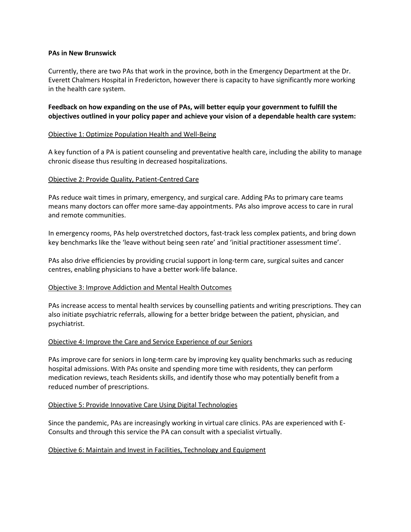## **PAs in New Brunswick**

Currently, there are two PAs that work in the province, both in the Emergency Department at the Dr. Everett Chalmers Hospital in Fredericton, however there is capacity to have significantly more working in the health care system.

**Feedback on how expanding on the use of PAs, will better equip your government to fulfill the objectives outlined in your policy paper and achieve your vision of a dependable health care system:**

## Objective 1: Optimize Population Health and Well-Being

A key function of a PA is patient counseling and preventative health care, including the ability to manage chronic disease thus resulting in decreased hospitalizations.

## Objective 2: Provide Quality, Patient-Centred Care

PAs reduce wait times in primary, emergency, and surgical care. Adding PAs to primary care teams means many doctors can offer more same-day appointments. PAs also improve access to care in rural and remote communities.

In emergency rooms, PAs help overstretched doctors, fast-track less complex patients, and bring down key benchmarks like the 'leave without being seen rate' and 'initial practitioner assessment time'.

PAs also drive efficiencies by providing crucial support in long-term care, surgical suites and cancer centres, enabling physicians to have a better work-life balance.

### Objective 3: Improve Addiction and Mental Health Outcomes

PAs increase access to mental health services by counselling patients and writing prescriptions. They can also initiate psychiatric referrals, allowing for a better bridge between the patient, physician, and psychiatrist.

## Objective 4: Improve the Care and Service Experience of our Seniors

PAs improve care for seniors in long-term care by improving key quality benchmarks such as reducing hospital admissions. With PAs onsite and spending more time with residents, they can perform medication reviews, teach Residents skills, and identify those who may potentially benefit from a reduced number of prescriptions.

### Objective 5: Provide Innovative Care Using Digital Technologies

Since the pandemic, PAs are increasingly working in virtual care clinics. PAs are experienced with E-Consults and through this service the PA can consult with a specialist virtually.

### Objective 6: Maintain and Invest in Facilities, Technology and Equipment